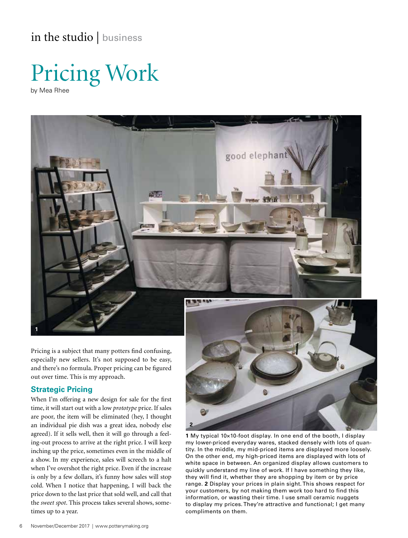in the studio | business





Pricing is a subject that many potters find confusing, especially new sellers. It's not supposed to be easy, and there's no formula. Proper pricing can be figured out over time. This is my approach.

## **Strategic Pricing**

**1**

When I'm offering a new design for sale for the first time, it will start out with a low *prototype* price. If sales are poor, the item will be eliminated (hey, I thought an individual pie dish was a great idea, nobody else agreed). If it sells well, then it will go through a feeling-out process to arrive at the right price. I will keep inching up the price, sometimes even in the middle of a show. In my experience, sales will screech to a halt when I've overshot the right price. Even if the increase is only by a few dollars, it's funny how sales will stop cold. When I notice that happening, I will back the price down to the last price that sold well, and call that the *sweet spot*. This process takes several shows, sometimes up to a year.



**1** My typical 10×10-foot display. In one end of the booth, I display my lower-priced everyday wares, stacked densely with lots of quantity. In the middle, my mid-priced items are displayed more loosely. On the other end, my high-priced items are displayed with lots of white space in between. An organized display allows customers to quickly understand my line of work. If I have something they like, they will find it, whether they are shopping by item or by price range. **2** Display your prices in plain sight. This shows respect for your customers, by not making them work too hard to find this information, or wasting their time. I use small ceramic nuggets to display my prices. They're attractive and functional; I get many compliments on them.